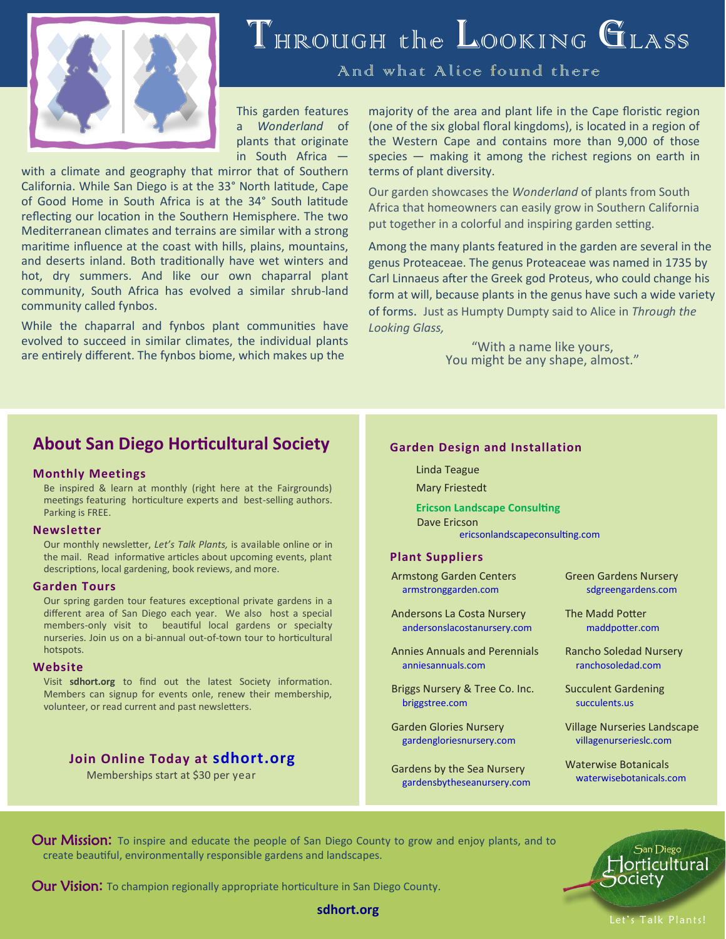

# THROUGH the LOOKING GLASS

And what Alice found there

This garden features a *Wonderland* of plants that originate in South Africa —

with a climate and geography that mirror that of Southern California. While San Diego is at the 33° North latitude, Cape of Good Home in South Africa is at the 34° South latitude reflecting our location in the Southern Hemisphere. The two Mediterranean climates and terrains are similar with a strong maritime influence at the coast with hills, plains, mountains, and deserts inland. Both traditionally have wet winters and hot, dry summers. And like our own chaparral plant community, South Africa has evolved a similar shrub-land community called fynbos.

While the chaparral and fynbos plant communities have evolved to succeed in similar climates, the individual plants are entirely different. The fynbos biome, which makes up the

majority of the area and plant life in the Cape floristic region (one of the six global floral kingdoms), is located in a region of the Western Cape and contains more than 9,000 of those species — making it among the richest regions on earth in terms of plant diversity.

Our garden showcases the *Wonderland* of plants from South Africa that homeowners can easily grow in Southern California put together in a colorful and inspiring garden setting.

Among the many plants featured in the garden are several in the genus Proteaceae. The genus Proteaceae was named in 1735 by Carl Linnaeus after the Greek god Proteus, who could change his form at will, because plants in the genus have such a wide variety of forms. Just as Humpty Dumpty said to Alice in *Through the Looking Glass,*

> "With a name like yours, You might be any shape, almost."

## **About San Diego Horticultural Society**

#### **Monthly Meetings**

Be inspired & learn at monthly (right here at the Fairgrounds) meetings featuring horticulture experts and best-selling authors. Parking is FREE.

#### **Newsletter**

Our monthly newsletter, *Let's Talk Plants,* is available online or in the mail. Read informative articles about upcoming events, plant descriptions, local gardening, book reviews, and more.

#### **Garden Tours**

Our spring garden tour features exceptional private gardens in a different area of San Diego each year. We also host a special members-only visit to beautiful local gardens or specialty nurseries. Join us on a bi-annual out-of-town tour to horticultural hotspots.

#### **Website**

Visit **sdhort.org** to find out the latest Society information. Members can signup for events onle, renew their membership, volunteer, or read current and past newsletters.

### **Join Online Today at sdhort.org**

Memberships start at \$30 per year

#### **Garden Design and Installation**

Linda Teague

Mary Friestedt

**Ericson Landscape Consulting** Dave Ericson ericsonlandscapeconsulting.com

#### **Plant Suppliers**

Armstong Garden Centers armstronggarden.com

Andersons La Costa Nursery andersonslacostanursery.com

Annies Annuals and Perennials anniesannuals.com

Briggs Nursery & Tree Co. Inc. briggstree.com

Garden Glories Nursery gardengloriesnursery.com

Gardens by the Sea Nursery gardensbytheseanursery.com Green Gardens Nursery sdgreengardens.com

The Madd Potter maddpotter.com

Rancho Soledad Nursery ranchosoledad.com

Succulent Gardening succulents.us

Village Nurseries Landscape villagenurserieslc.com

Waterwise Botanicals waterwisebotanicals.com

Our Mission: To inspire and educate the people of San Diego County to grow and enjoy plants, and to create beautiful, environmentally responsible gardens and landscapes.



Our Vision**:** To champion regionally appropriate horticulture in San Diego County.

**sdhort.org**

Let's Talk Plants!